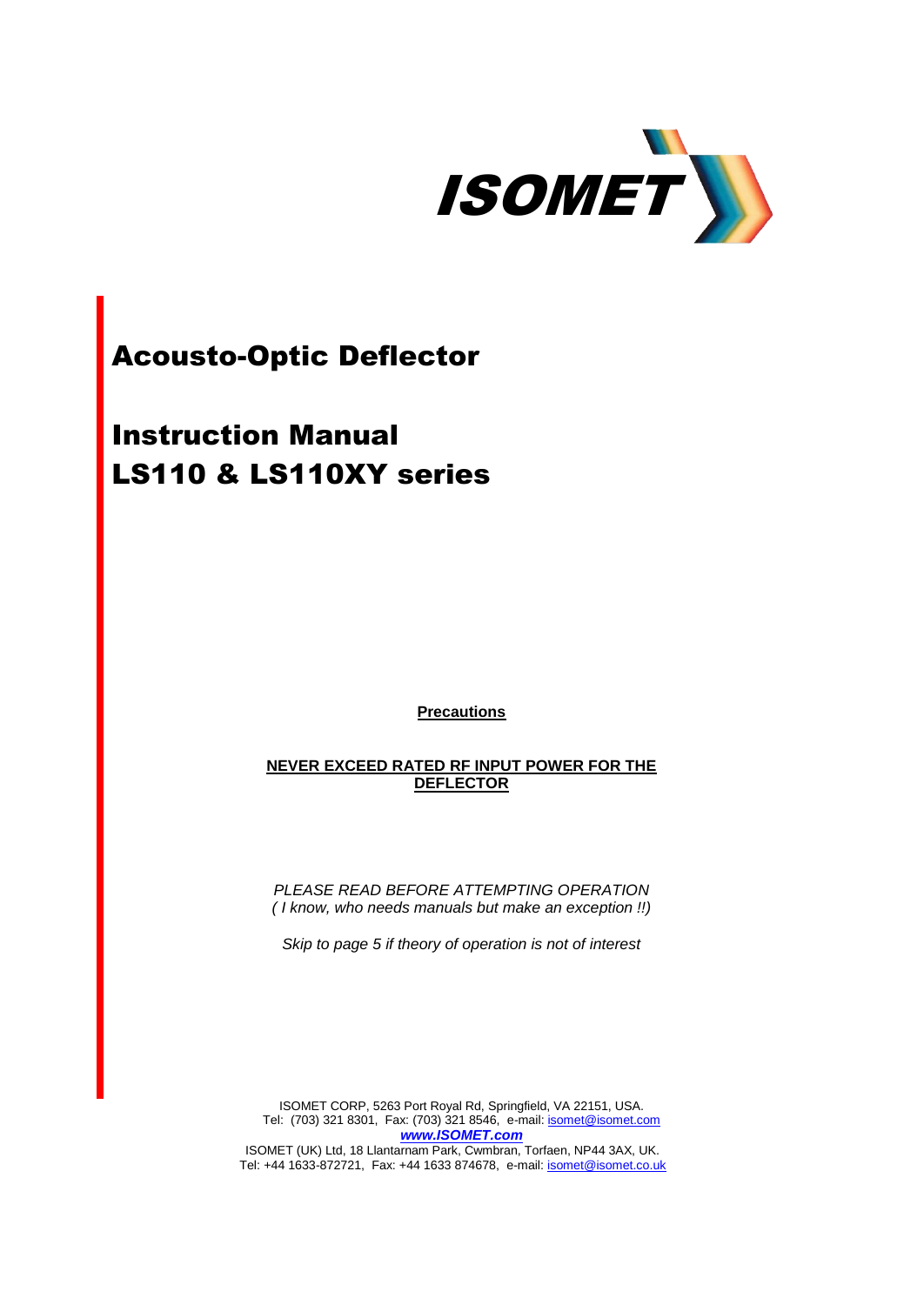

# Acousto-Optic Deflector

# Instruction Manual LS110 & LS110XY series

**Precautions**

**NEVER EXCEED RATED RF INPUT POWER FOR THE DEFLECTOR**

*PLEASE READ BEFORE ATTEMPTING OPERATION ( I know, who needs manuals but make an exception !!)*

*Skip to page 5 if theory of operation is not of interest* 

ISOMET CORP, 5263 Port Royal Rd, Springfield, VA 22151, USA. Tel: (703) 321 8301, Fax: (703) 321 8546, e-mail: **isomet@isomet.com** *[www.ISOMET.com](http://www.isomet.com/)*

ISOMET (UK) Ltd, 18 Llantarnam Park, Cwmbran, Torfaen, NP44 3AX, UK. Tel: +44 1633-872721, Fax: +44 1633 874678, e-mail: *isomet@isomet.co.uk*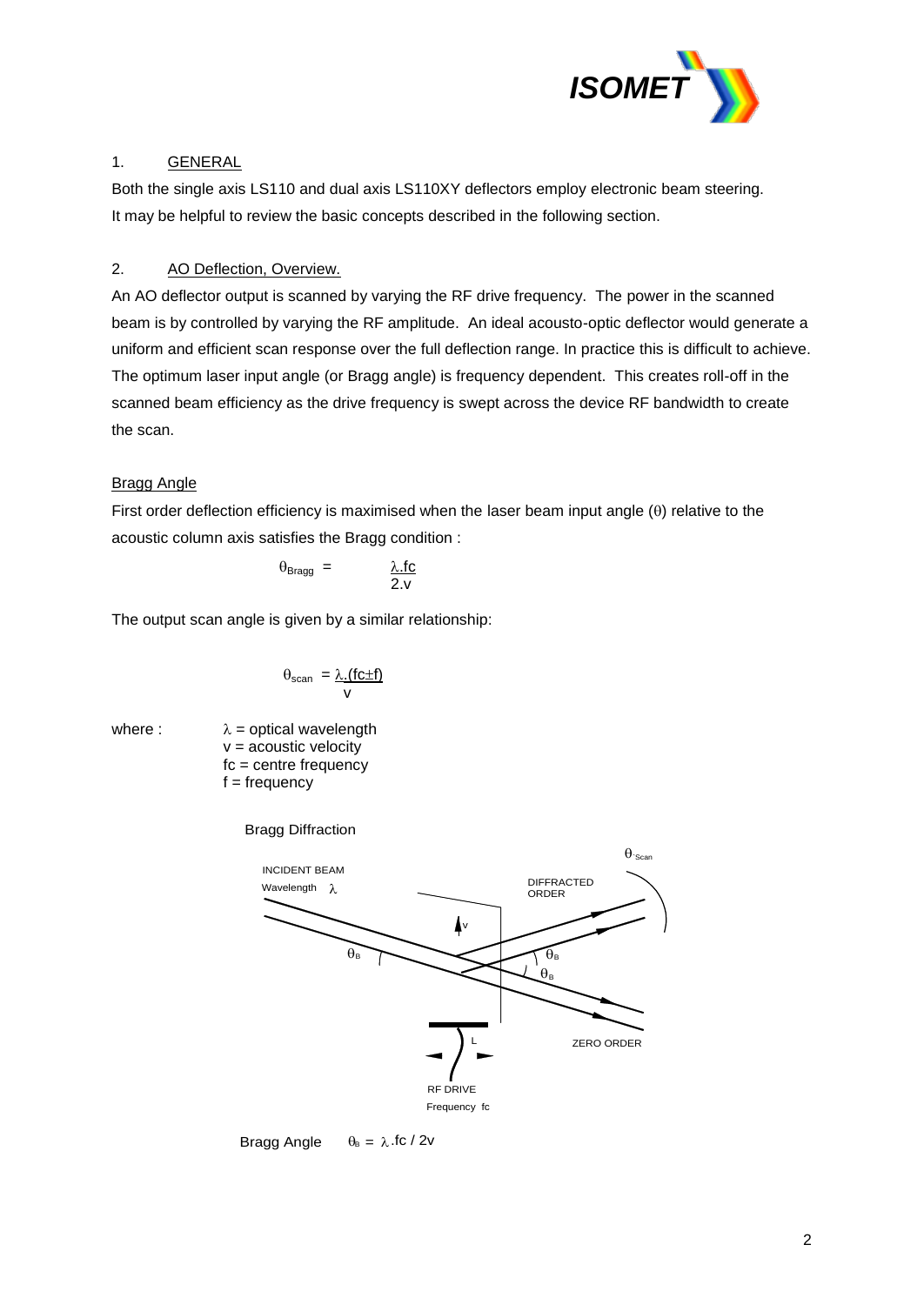

## 1. GENERAL

Both the single axis LS110 and dual axis LS110XY deflectors employ electronic beam steering. It may be helpful to review the basic concepts described in the following section.

## 2. AO Deflection, Overview.

An AO deflector output is scanned by varying the RF drive frequency. The power in the scanned beam is by controlled by varying the RF amplitude. An ideal acousto-optic deflector would generate a uniform and efficient scan response over the full deflection range. In practice this is difficult to achieve. The optimum laser input angle (or Bragg angle) is frequency dependent. This creates roll-off in the scanned beam efficiency as the drive frequency is swept across the device RF bandwidth to create the scan.

## Bragg Angle

First order deflection efficiency is maximised when the laser beam input angle  $(\theta)$  relative to the acoustic column axis satisfies the Bragg condition :

$$
\theta_{\text{Bragg}} = \qquad \qquad \frac{\lambda \text{.fc}}{2.v}
$$

The output scan angle is given by a similar relationship:

$$
\theta_{\text{scan}} = \frac{\lambda.(fc \pm f)}{v}
$$

where :  $\lambda$  = optical wavelength  $v =$  acoustic velocity fc = centre frequency  $f = frequency$ 

Bragg Diffraction



Bragg Angle  $\theta_B = \lambda$ .fc / 2v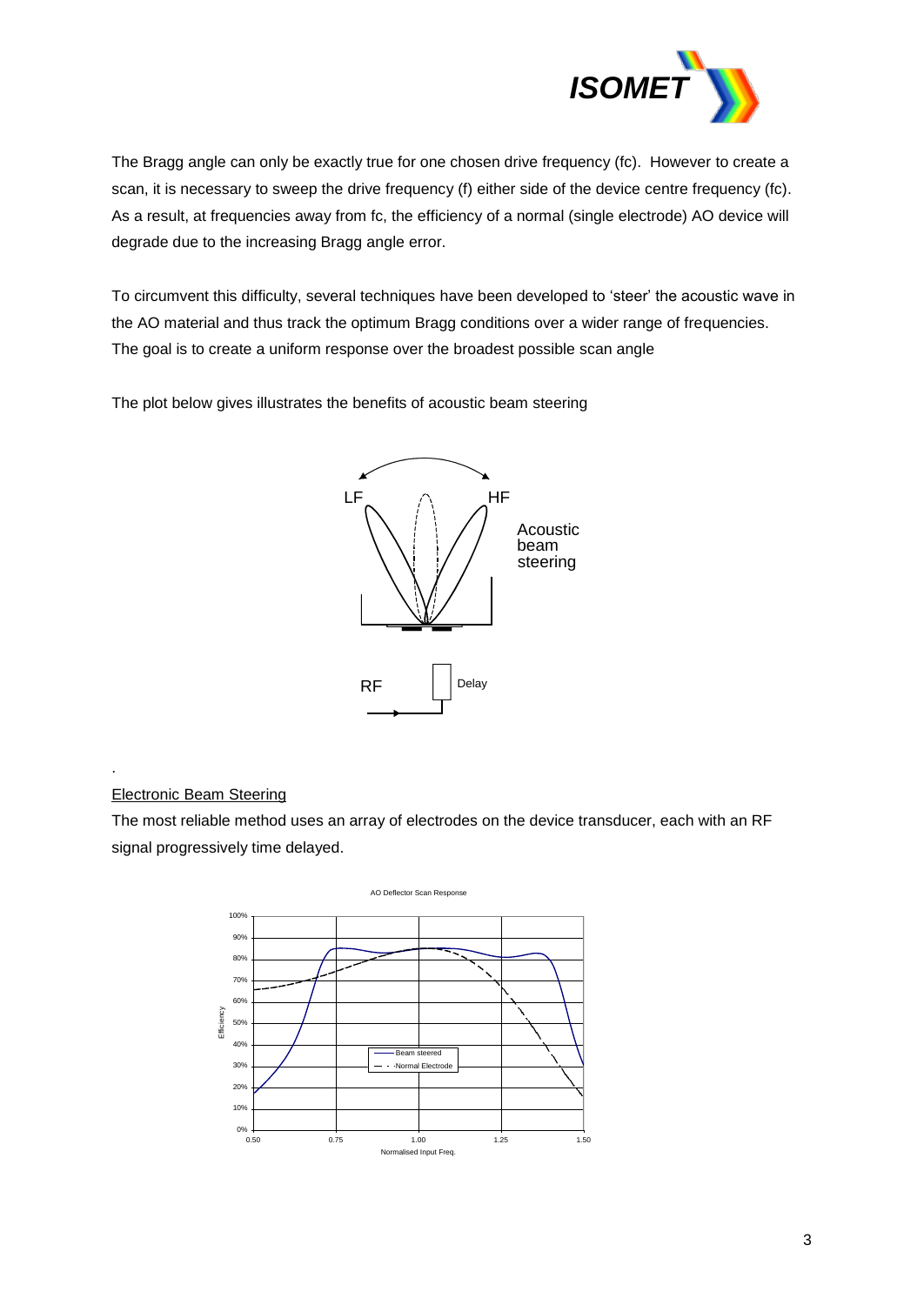

The Bragg angle can only be exactly true for one chosen drive frequency (fc). However to create a scan, it is necessary to sweep the drive frequency (f) either side of the device centre frequency (fc). As a result, at frequencies away from fc, the efficiency of a normal (single electrode) AO device will degrade due to the increasing Bragg angle error.

To circumvent this difficulty, several techniques have been developed to 'steer' the acoustic wave in the AO material and thus track the optimum Bragg conditions over a wider range of frequencies. The goal is to create a uniform response over the broadest possible scan angle

The plot below gives illustrates the benefits of acoustic beam steering



## Electronic Beam Steering

.

The most reliable method uses an array of electrodes on the device transducer, each with an RF signal progressively time delayed.

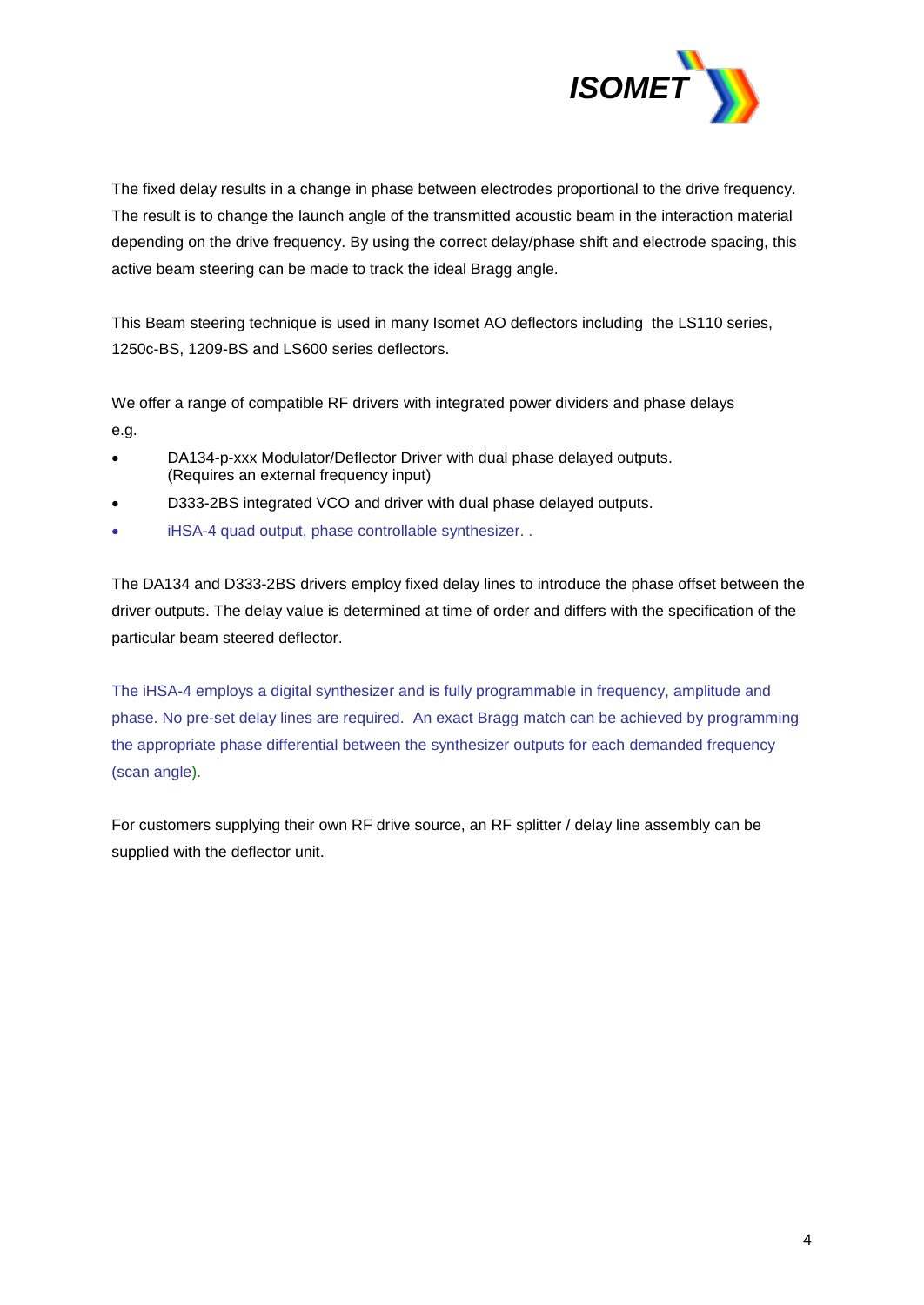

The fixed delay results in a change in phase between electrodes proportional to the drive frequency. The result is to change the launch angle of the transmitted acoustic beam in the interaction material depending on the drive frequency. By using the correct delay/phase shift and electrode spacing, this active beam steering can be made to track the ideal Bragg angle.

This Beam steering technique is used in many Isomet AO deflectors including the LS110 series, 1250c-BS, 1209-BS and LS600 series deflectors.

We offer a range of compatible RF drivers with integrated power dividers and phase delays e.g.

- DA134-p-xxx Modulator/Deflector Driver with dual phase delayed outputs. (Requires an external frequency input)
- D333-2BS integrated VCO and driver with dual phase delayed outputs.
- iHSA-4 quad output, phase controllable synthesizer. .

The DA134 and D333-2BS drivers employ fixed delay lines to introduce the phase offset between the driver outputs. The delay value is determined at time of order and differs with the specification of the particular beam steered deflector.

The iHSA-4 employs a digital synthesizer and is fully programmable in frequency, amplitude and phase. No pre-set delay lines are required. An exact Bragg match can be achieved by programming the appropriate phase differential between the synthesizer outputs for each demanded frequency (scan angle).

For customers supplying their own RF drive source, an RF splitter / delay line assembly can be supplied with the deflector unit.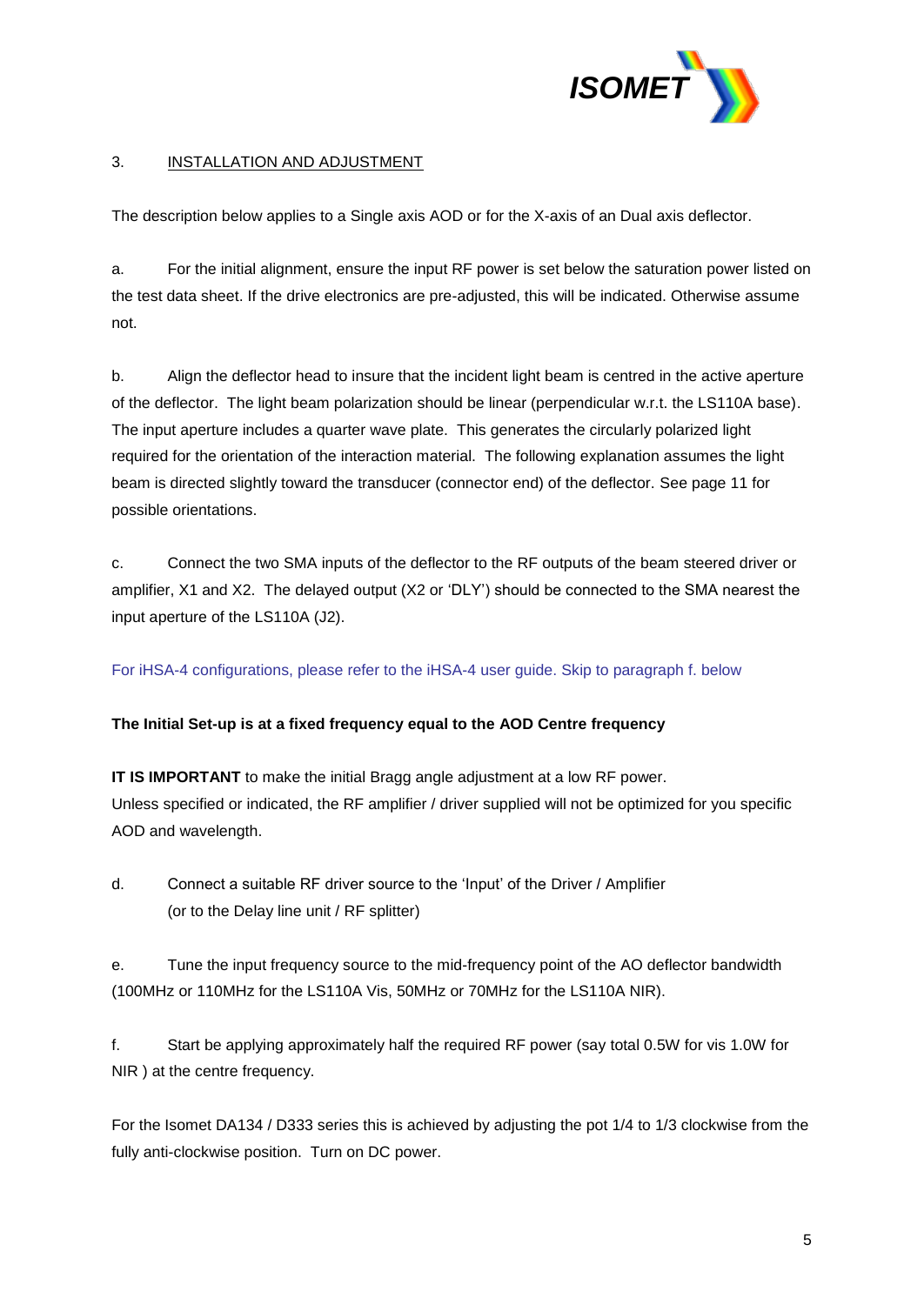

## 3. INSTALLATION AND ADJUSTMENT

The description below applies to a Single axis AOD or for the X-axis of an Dual axis deflector.

a. For the initial alignment, ensure the input RF power is set below the saturation power listed on the test data sheet. If the drive electronics are pre-adjusted, this will be indicated. Otherwise assume not.

b. Align the deflector head to insure that the incident light beam is centred in the active aperture of the deflector. The light beam polarization should be linear (perpendicular w.r.t. the LS110A base). The input aperture includes a quarter wave plate. This generates the circularly polarized light required for the orientation of the interaction material. The following explanation assumes the light beam is directed slightly toward the transducer (connector end) of the deflector. See page 11 for possible orientations.

c. Connect the two SMA inputs of the deflector to the RF outputs of the beam steered driver or amplifier, X1 and X2. The delayed output (X2 or 'DLY') should be connected to the SMA nearest the input aperture of the LS110A (J2).

For iHSA-4 configurations, please refer to the iHSA-4 user guide. Skip to paragraph f. below

#### **The Initial Set-up is at a fixed frequency equal to the AOD Centre frequency**

**IT IS IMPORTANT** to make the initial Bragg angle adjustment at a low RF power. Unless specified or indicated, the RF amplifier / driver supplied will not be optimized for you specific AOD and wavelength.

d. Connect a suitable RF driver source to the 'Input' of the Driver / Amplifier (or to the Delay line unit / RF splitter)

e. Tune the input frequency source to the mid-frequency point of the AO deflector bandwidth (100MHz or 110MHz for the LS110A Vis, 50MHz or 70MHz for the LS110A NIR).

f. Start be applying approximately half the required RF power (say total 0.5W for vis 1.0W for NIR ) at the centre frequency.

For the Isomet DA134 / D333 series this is achieved by adjusting the pot 1/4 to 1/3 clockwise from the fully anti-clockwise position. Turn on DC power.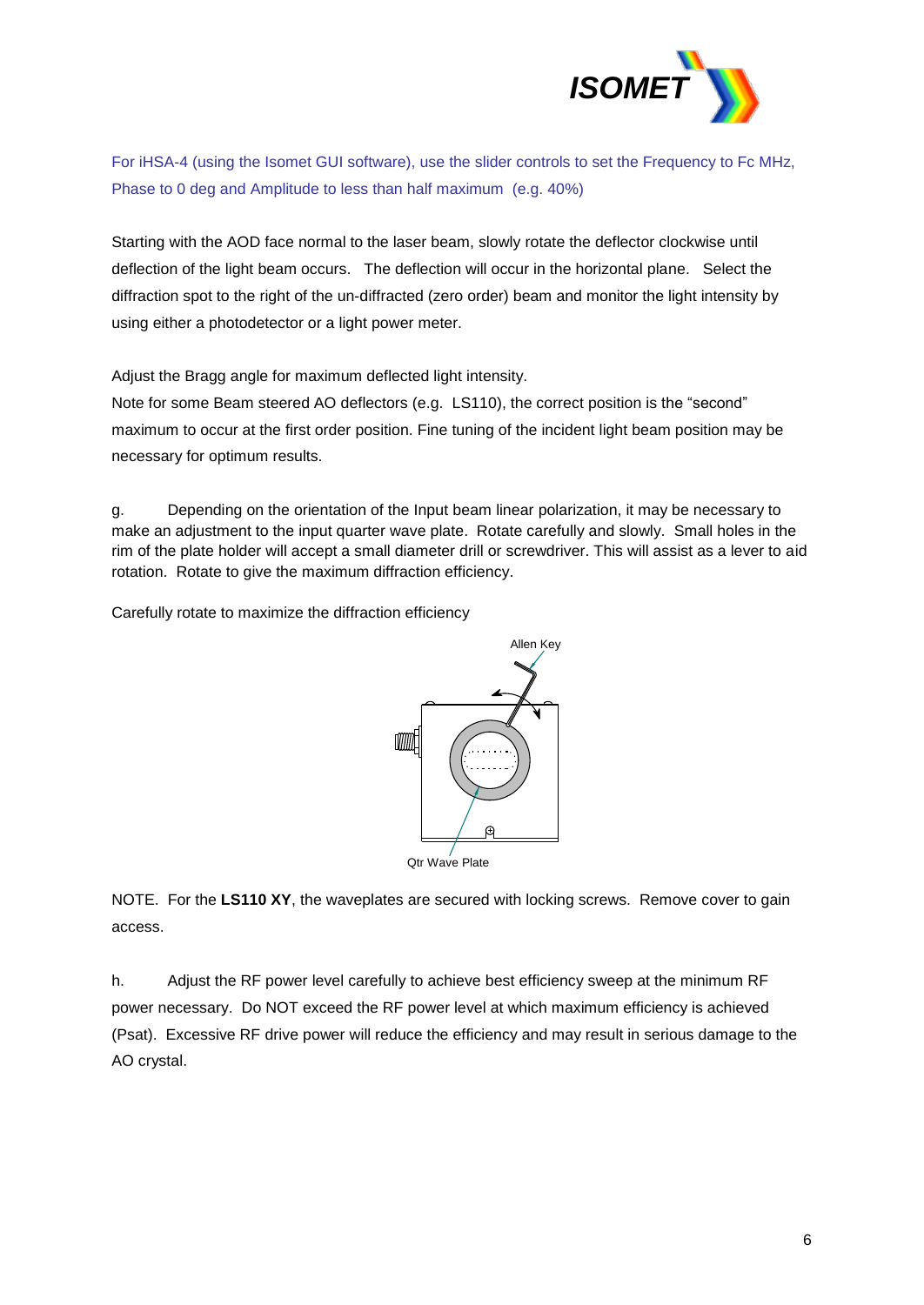

For iHSA-4 (using the Isomet GUI software), use the slider controls to set the Frequency to Fc MHz, Phase to 0 deg and Amplitude to less than half maximum (e.g. 40%)

Starting with the AOD face normal to the laser beam, slowly rotate the deflector clockwise until deflection of the light beam occurs. The deflection will occur in the horizontal plane. Select the diffraction spot to the right of the un-diffracted (zero order) beam and monitor the light intensity by using either a photodetector or a light power meter.

Adjust the Bragg angle for maximum deflected light intensity.

Note for some Beam steered AO deflectors (e.g. LS110), the correct position is the "second" maximum to occur at the first order position. Fine tuning of the incident light beam position may be necessary for optimum results.

g. Depending on the orientation of the Input beam linear polarization, it may be necessary to make an adjustment to the input quarter wave plate. Rotate carefully and slowly. Small holes in the rim of the plate holder will accept a small diameter drill or screwdriver. This will assist as a lever to aid rotation. Rotate to give the maximum diffraction efficiency.

Carefully rotate to maximize the diffraction efficiency



NOTE. For the **LS110 XY**, the waveplates are secured with locking screws. Remove cover to gain access.

h. Adjust the RF power level carefully to achieve best efficiency sweep at the minimum RF power necessary. Do NOT exceed the RF power level at which maximum efficiency is achieved (Psat). Excessive RF drive power will reduce the efficiency and may result in serious damage to the AO crystal.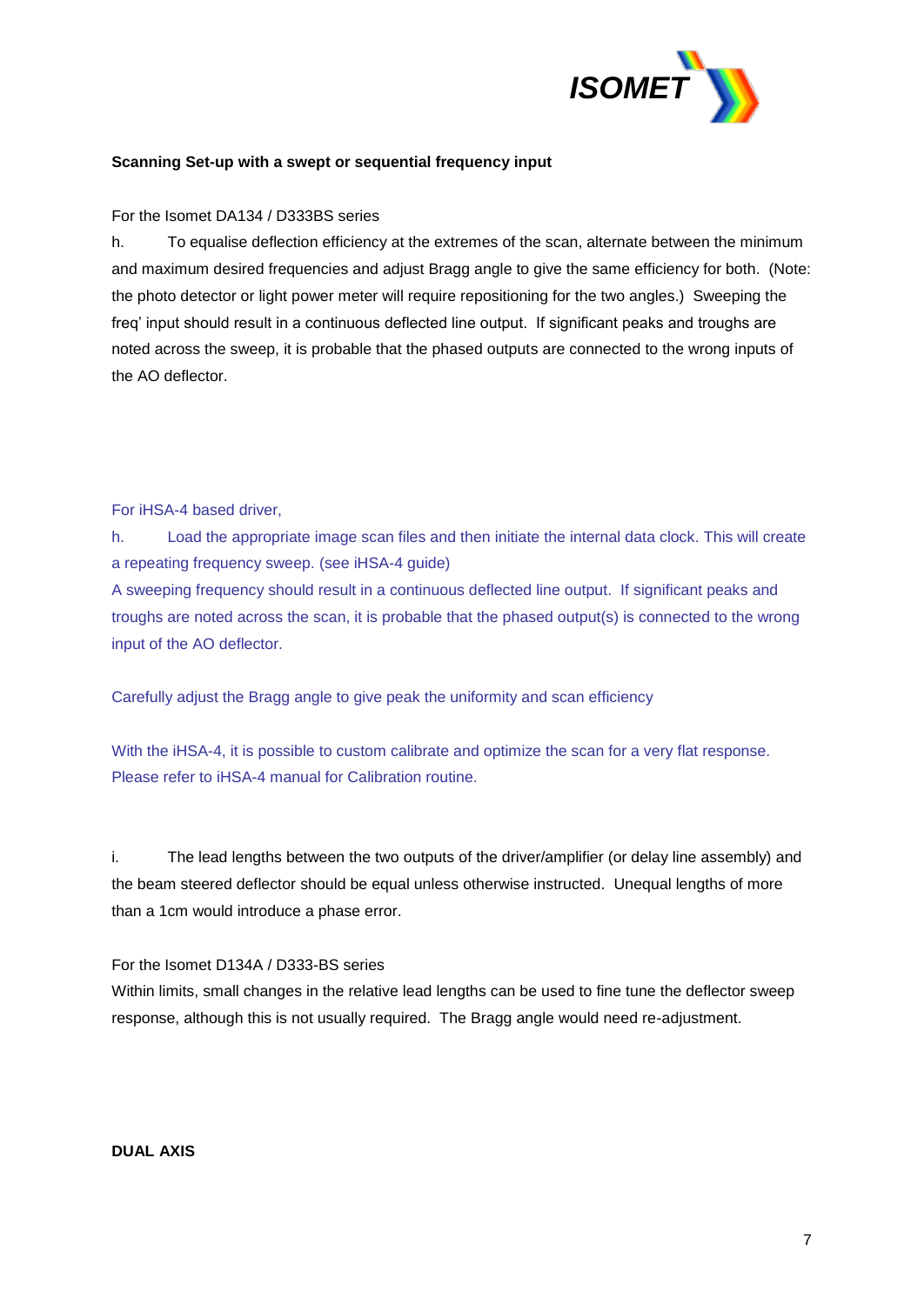

#### **Scanning Set-up with a swept or sequential frequency input**

#### For the Isomet DA134 / D333BS series

h. To equalise deflection efficiency at the extremes of the scan, alternate between the minimum and maximum desired frequencies and adjust Bragg angle to give the same efficiency for both. (Note: the photo detector or light power meter will require repositioning for the two angles.) Sweeping the freq' input should result in a continuous deflected line output. If significant peaks and troughs are noted across the sweep, it is probable that the phased outputs are connected to the wrong inputs of the AO deflector.

#### For iHSA-4 based driver,

h. Load the appropriate image scan files and then initiate the internal data clock. This will create a repeating frequency sweep. (see iHSA-4 guide)

A sweeping frequency should result in a continuous deflected line output. If significant peaks and troughs are noted across the scan, it is probable that the phased output(s) is connected to the wrong input of the AO deflector.

Carefully adjust the Bragg angle to give peak the uniformity and scan efficiency

With the iHSA-4, it is possible to custom calibrate and optimize the scan for a very flat response. Please refer to iHSA-4 manual for Calibration routine.

i. The lead lengths between the two outputs of the driver/amplifier (or delay line assembly) and the beam steered deflector should be equal unless otherwise instructed. Unequal lengths of more than a 1cm would introduce a phase error.

#### For the Isomet D134A / D333-BS series

Within limits, small changes in the relative lead lengths can be used to fine tune the deflector sweep response, although this is not usually required. The Bragg angle would need re-adjustment.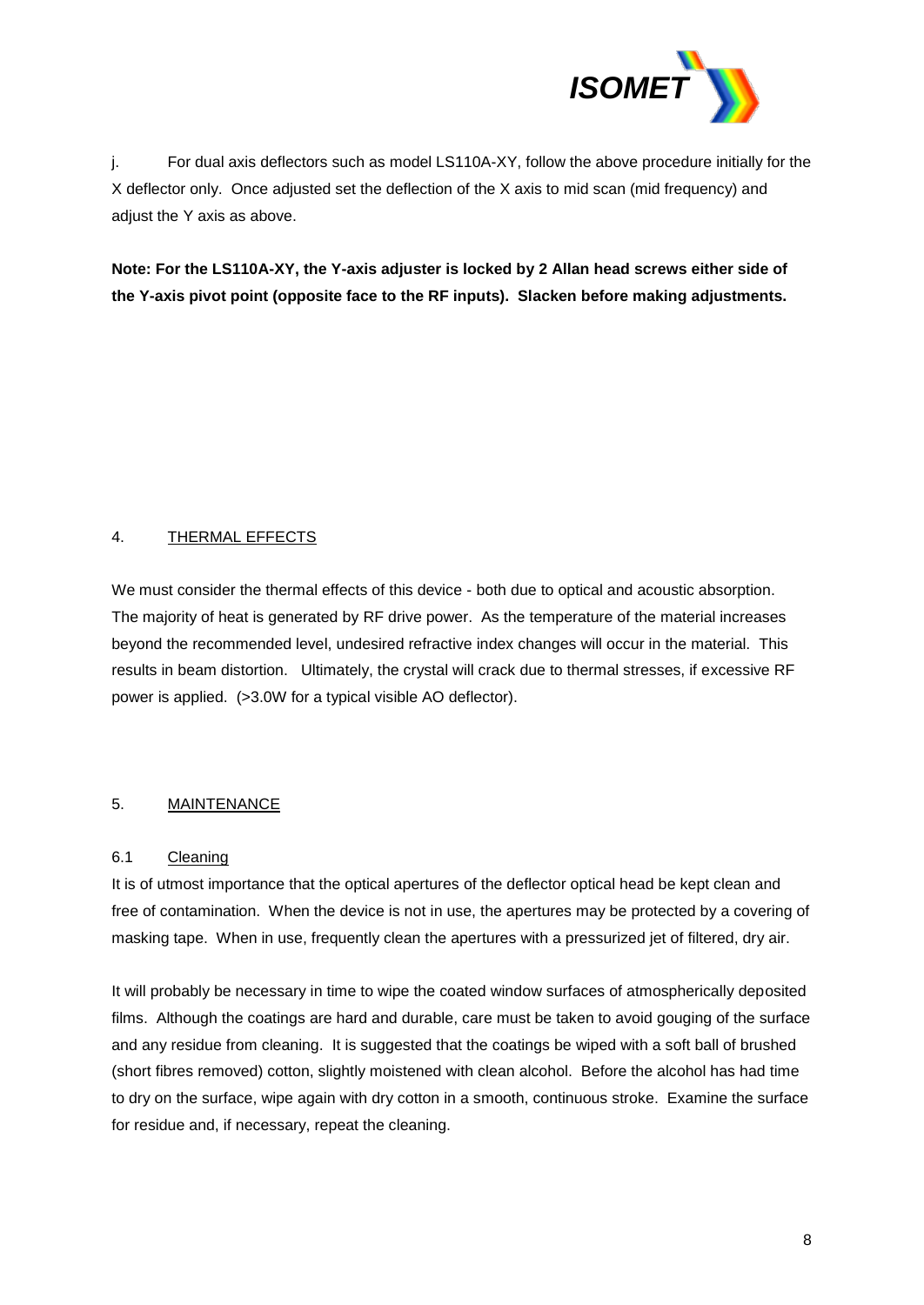

j. For dual axis deflectors such as model LS110A-XY, follow the above procedure initially for the X deflector only. Once adjusted set the deflection of the X axis to mid scan (mid frequency) and adjust the Y axis as above.

**Note: For the LS110A-XY, the Y-axis adjuster is locked by 2 Allan head screws either side of the Y-axis pivot point (opposite face to the RF inputs). Slacken before making adjustments.**

## 4. THERMAL EFFECTS

We must consider the thermal effects of this device - both due to optical and acoustic absorption. The majority of heat is generated by RF drive power. As the temperature of the material increases beyond the recommended level, undesired refractive index changes will occur in the material. This results in beam distortion. Ultimately, the crystal will crack due to thermal stresses, if excessive RF power is applied. (>3.0W for a typical visible AO deflector).

## 5. MAINTENANCE

## 6.1 Cleaning

It is of utmost importance that the optical apertures of the deflector optical head be kept clean and free of contamination. When the device is not in use, the apertures may be protected by a covering of masking tape. When in use, frequently clean the apertures with a pressurized jet of filtered, dry air.

It will probably be necessary in time to wipe the coated window surfaces of atmospherically deposited films. Although the coatings are hard and durable, care must be taken to avoid gouging of the surface and any residue from cleaning. It is suggested that the coatings be wiped with a soft ball of brushed (short fibres removed) cotton, slightly moistened with clean alcohol. Before the alcohol has had time to dry on the surface, wipe again with dry cotton in a smooth, continuous stroke. Examine the surface for residue and, if necessary, repeat the cleaning.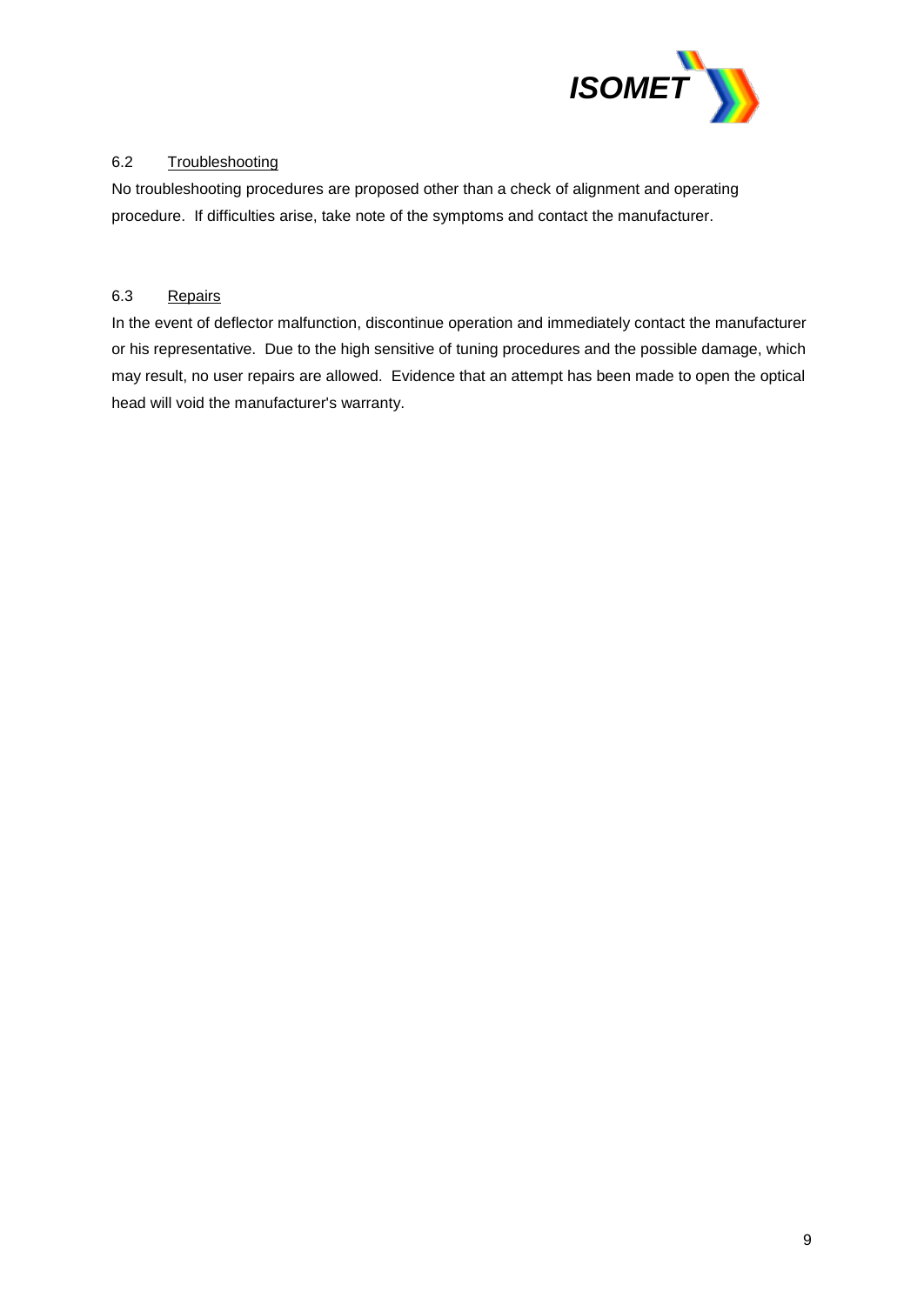

### 6.2 Troubleshooting

No troubleshooting procedures are proposed other than a check of alignment and operating procedure. If difficulties arise, take note of the symptoms and contact the manufacturer.

#### 6.3 Repairs

In the event of deflector malfunction, discontinue operation and immediately contact the manufacturer or his representative. Due to the high sensitive of tuning procedures and the possible damage, which may result, no user repairs are allowed. Evidence that an attempt has been made to open the optical head will void the manufacturer's warranty.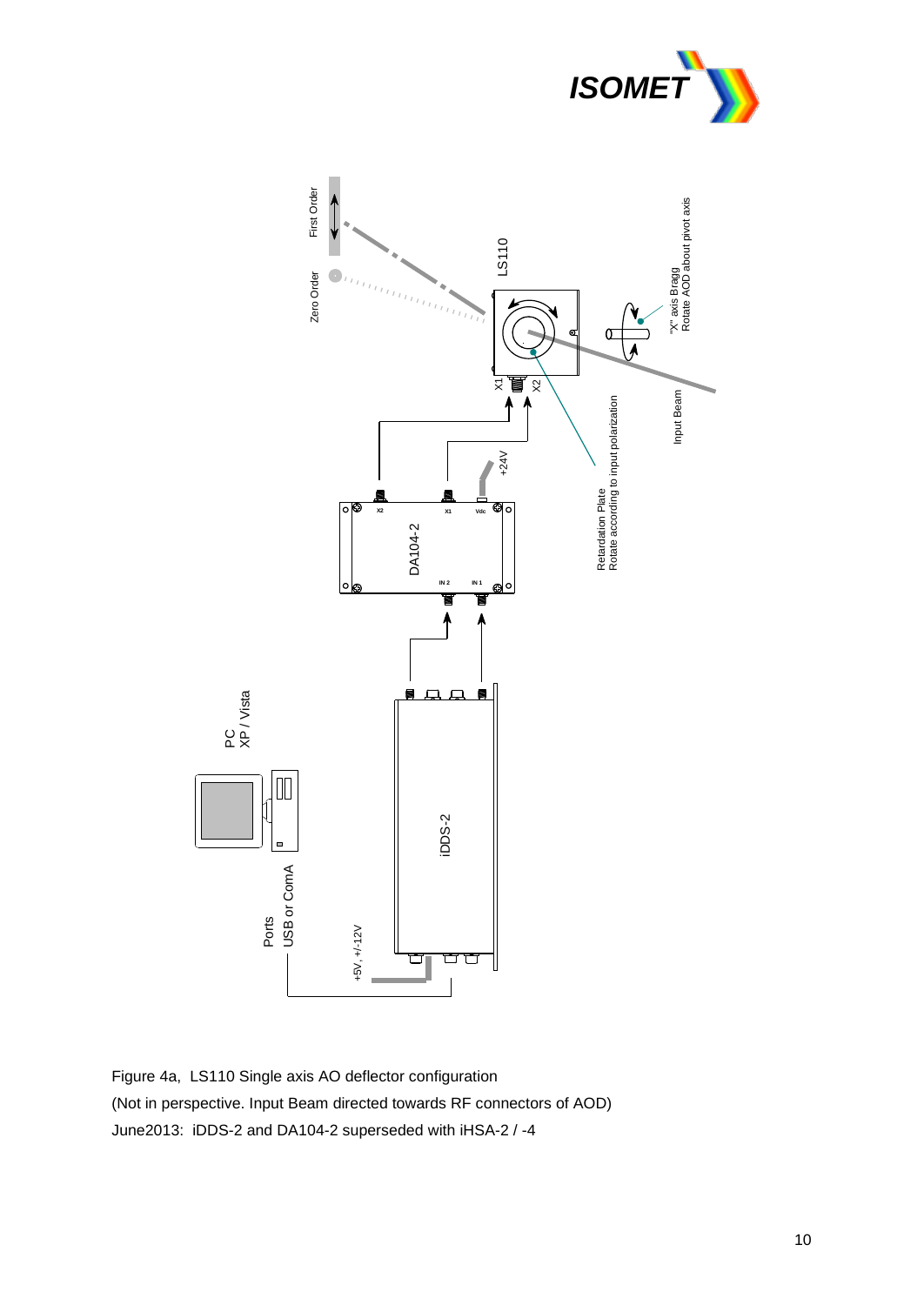



Figure 4a, LS110 Single axis AO deflector configuration (Not in perspective. Input Beam directed towards RF connectors of AOD) June2013: iDDS-2 and DA104-2 superseded with iHSA-2 / -4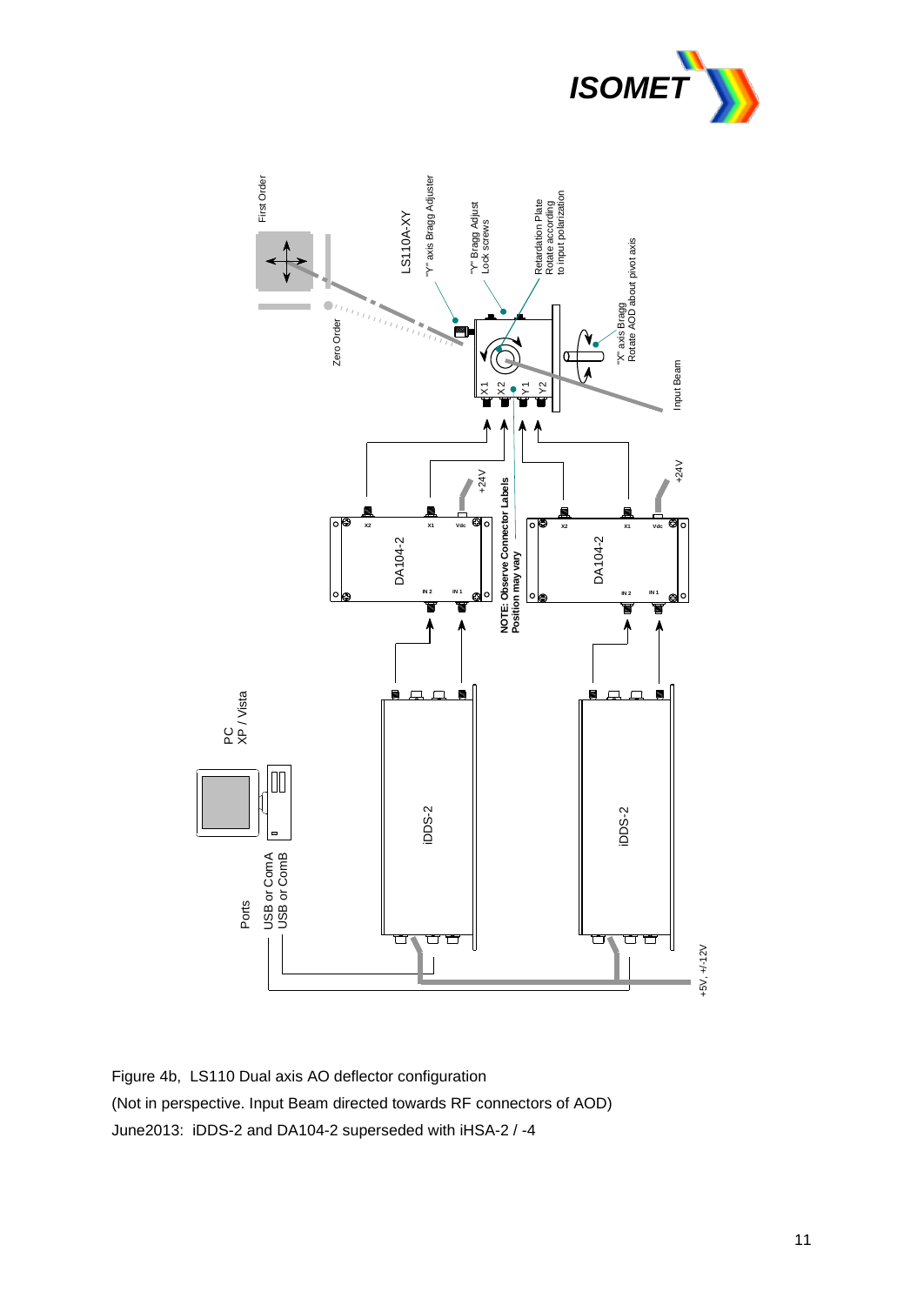



Figure 4b, LS110 Dual axis AO deflector configuration (Not in perspective. Input Beam directed towards RF connectors of AOD) June2013: iDDS-2 and DA104-2 superseded with iHSA-2 / -4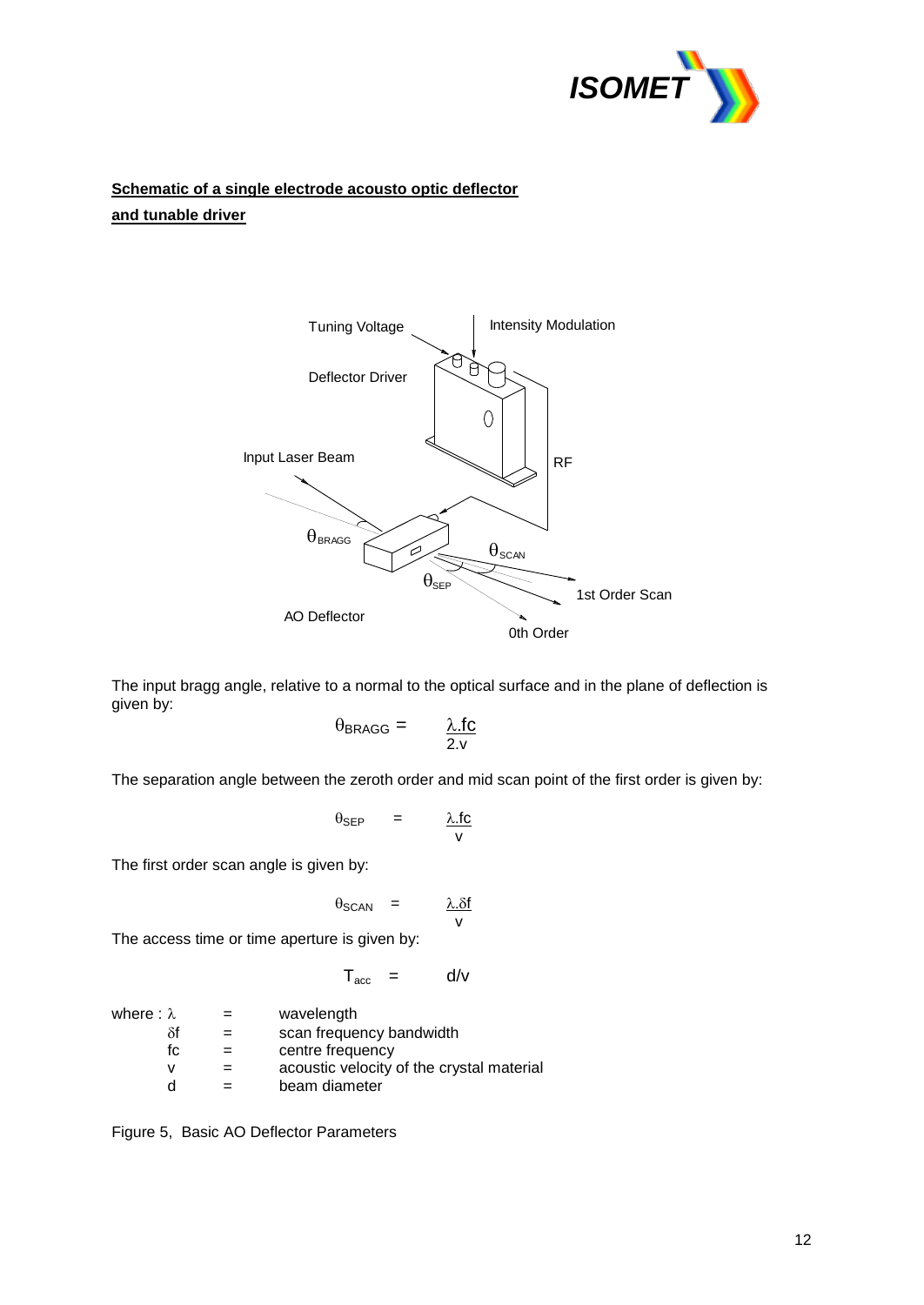

## **Schematic of a single electrode acousto optic deflector and tunable driver**



The input bragg angle, relative to a normal to the optical surface and in the plane of deflection is given by:

$$
\theta_{\text{BRAGG}} = \qquad \frac{\lambda \text{ f c}}{2 \text{ v}}
$$

The separation angle between the zeroth order and mid scan point of the first order is given by:

$$
\theta_{\text{SEP}} = \frac{\lambda \cdot \text{fc}}{\text{v}}
$$

The first order scan angle is given by:

$$
\theta_{SCAN} = \frac{\lambda . \delta f}{v}
$$

The access time or time aperture is given by:

$$
T_{\text{acc}} = d/v
$$

| where : $\lambda$ | $=$ | wavelength                                |
|-------------------|-----|-------------------------------------------|
| δf                | $=$ | scan frequency bandwidth                  |
| fc.               |     | centre frequency                          |
| v                 |     | acoustic velocity of the crystal material |
| d                 |     | beam diameter                             |

Figure 5, Basic AO Deflector Parameters